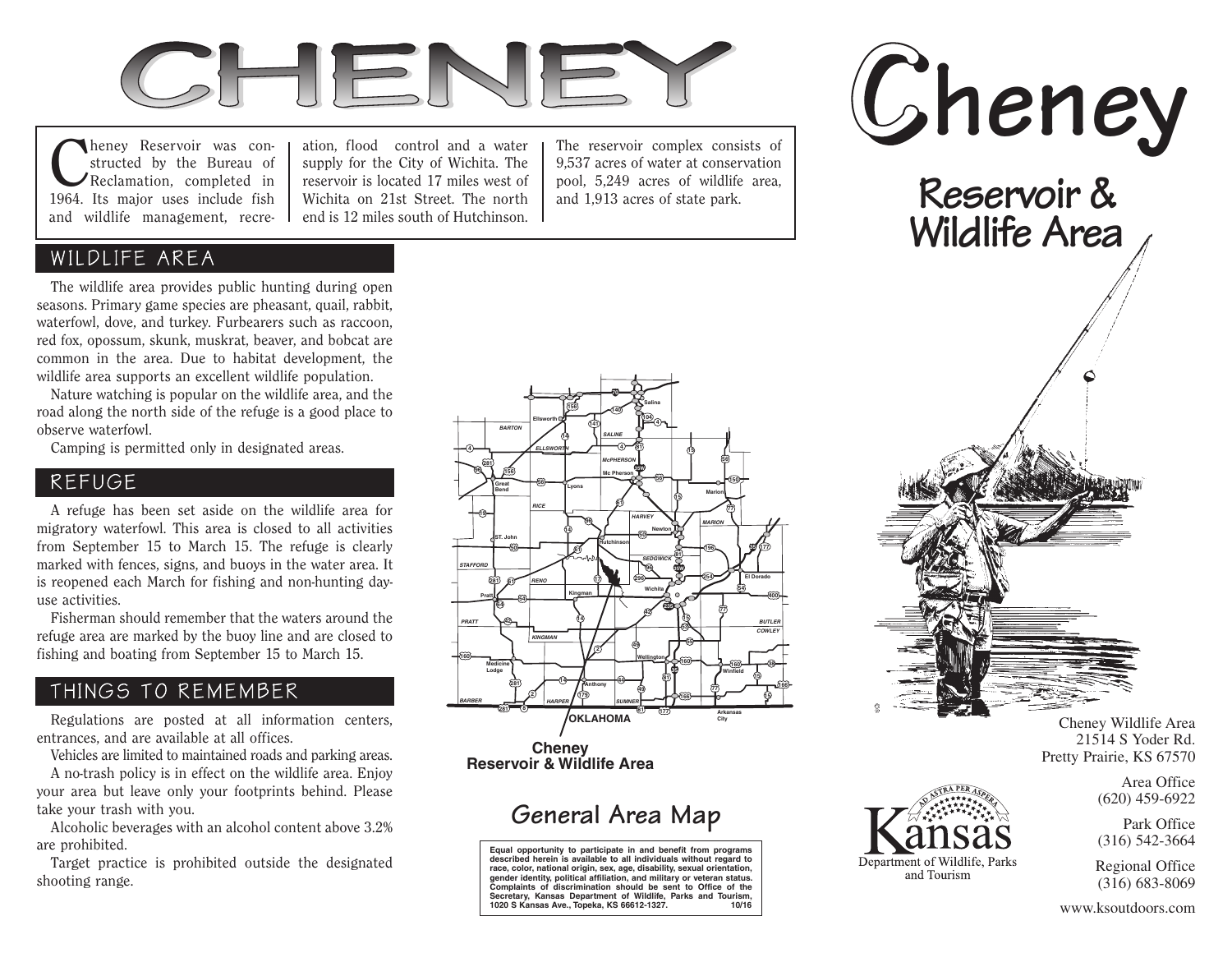

**C**heney Reservoir was constructed by the Bureau of<br>Reclamation, completed in structed by the Bureau of 1964. Its major uses include fish and wildlife management, recre-

ation, flood control and a water supply for the City of Wichita. The reservoir is located 17 miles west of Wichita on 21st Street. The north end is 12 miles south of Hutchinson.

The reservoir complex consists of 9,537 acres of water at conservation pool, 5,249 acres of wildlife area, and 1,913 acres of state park.

### WILDLIFE AREA

 The wildlife area provides public hunting during open seasons. Primary game species are pheasant, quail, rabbit, waterfowl, dove, and turkey. Furbearers such as raccoon, red fox, opossum, skunk, muskrat, beaver, and bobcat are common in the area. Due to habitat development, the wildlife area supports an excellent wildlife population.

 Nature watching is popular on the wildlife area, and the road along the north side of the refuge is a good place to observe waterfowl.

Camping is permitted only in designated areas.

#### REFUGE

 A refuge has been set aside on the wildlife area for migratory waterfowl. This area is closed to all activities from September 15 to March 15. The refuge is clearly marked with fences, signs, and buoys in the water area. It is reopened each March for fishing and non-hunting dayuse activities.

 Fisherman should remember that the waters around the refuge area are marked by the buoy line and are closed to fishing and boating from September 15 to March 15.

## THINGS TO REMEMBER

 Regulations are posted at all information centers, entrances, and are available at all offices.

Vehicles are limited to maintained roads and parking areas.

 A no-trash policy is in effect on the wildlife area. Enjoy your area but leave only your footprints behind. Please take your trash with you.

 Alcoholic beverages with an alcohol content above 3.2% are prohibited.

 Target practice is prohibited outside the designated shooting range.



**Equal opportunity to participate in and benefit from programs described herein is available to all individuals without regard to race, color, national origin, sex, age, disability, sexual orientation, gender identity, political affiliation, and military or veteran status. Complaints of discrimination should be sent to Office of the Secretary, Kansas Department of Wildlife, Parks and Tourism, 1020 S Kansas Ave., Topeka, KS 66612-1327. 10/16**



Department of Wildlife, Parks and Tourism

Cheney Wildlife Area 21514 S Yoder Rd. Pretty Prairie, KS 67570

> Area Office (620) 459-6922

> Park Office (316) 542-3664

Regional Office (316) 683-8069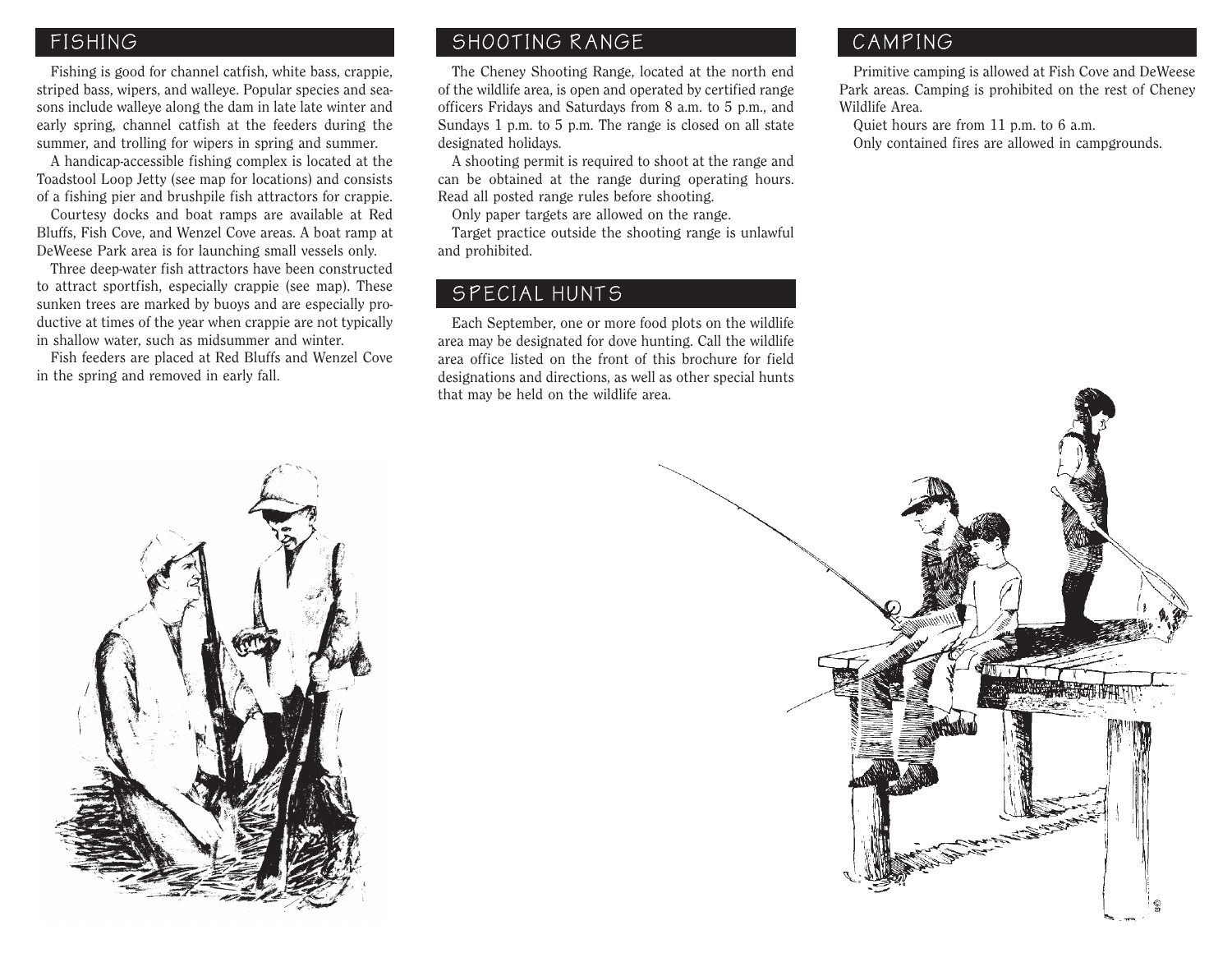#### FISHING

 Fishing is good for channel catfish, white bass, crappie, striped bass, wipers, and walleye. Popular species and seasons include walleye along the dam in late late winter and early spring, channel catfish at the feeders during the summer, and trolling for wipers in spring and summer.

 A handicap-accessible fishing complex is located at the Toadstool Loop Jetty (see map for locations) and consists of a fishing pier and brushpile fish attractors for crappie.

 Courtesy docks and boat ramps are available at Red Bluffs, Fish Cove, and Wenzel Cove areas. A boat ramp at DeWeese Park area is for launching small vessels only.

 Three deep-water fish attractors have been constructed to attract sportfish, especially crappie (see map). These sunken trees are marked by buoys and are especially productive at times of the year when crappie are not typically in shallow water, such as midsummer and winter.

 Fish feeders are placed at Red Bluffs and Wenzel Cove in the spring and removed in early fall.

#### SHOOTING RANGE

 The Cheney Shooting Range, located at the north end of the wildlife area, is open and operated by certified range officers Fridays and Saturdays from 8 a.m. to 5 p.m., and Sundays 1 p.m. to 5 p.m. The range is closed on all state designated holidays.

 A shooting permit is required to shoot at the range and can be obtained at the range during operating hours. Read all posted range rules before shooting.

Only paper targets are allowed on the range.

 Target practice outside the shooting range is unlawful and prohibited.

#### SPECIAL HUNTS

 Each September, one or more food plots on the wildlife area may be designated for dove hunting. Call the wildlife area office listed on the front of this brochure for field designations and directions, as well as other special hunts that may be held on the wildlife area.

# CAMPING

 Primitive camping is allowed at Fish Cove and DeWeese Park areas. Camping is prohibited on the rest of Cheney Wildlife Area.

 Quiet hours are from 11 p.m. to 6 a.m. Only contained fires are allowed in campgrounds.



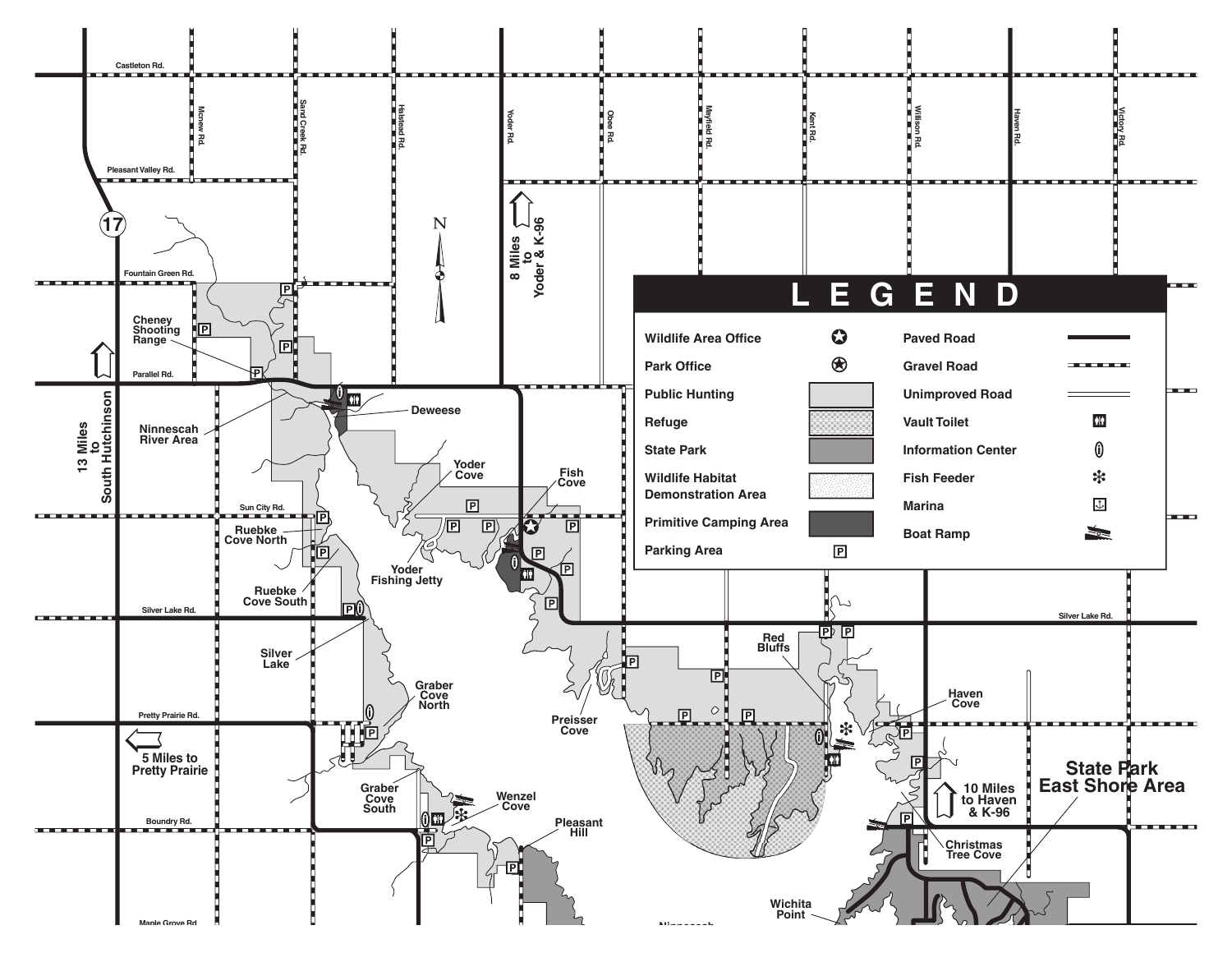